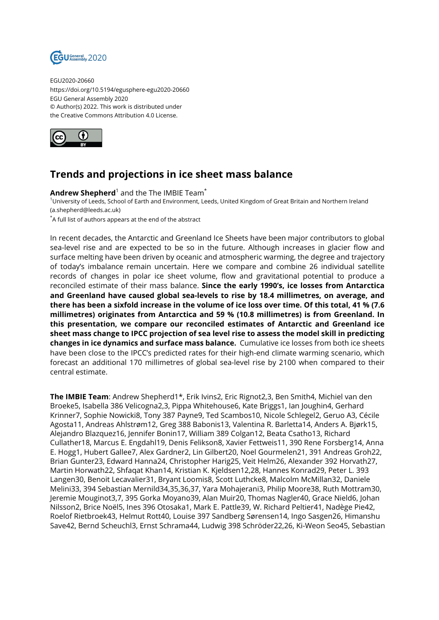

EGU2020-20660 https://doi.org/10.5194/egusphere-egu2020-20660 EGU General Assembly 2020 © Author(s) 2022. This work is distributed under the Creative Commons Attribution 4.0 License.



## **Trends and projections in ice sheet mass balance**

 $\bm{\mathsf{Andrew}\; \mathsf{Shepherd}^1}$  and the The IMBIE Team $\bm{\check{}}$ 

<sup>1</sup>University of Leeds, School of Earth and Environment, Leeds, United Kingdom of Great Britain and Northern Ireland (a.shepherd@leeds.ac.uk)

\*A full list of authors appears at the end of the abstract

In recent decades, the Antarctic and Greenland Ice Sheets have been major contributors to global sea-level rise and are expected to be so in the future. Although increases in glacier flow and surface melting have been driven by oceanic and atmospheric warming, the degree and trajectory of today's imbalance remain uncertain. Here we compare and combine 26 individual satellite records of changes in polar ice sheet volume, flow and gravitational potential to produce a reconciled estimate of their mass balance. **Since the early 1990's, ice losses from Antarctica and Greenland have caused global sea-levels to rise by 18.4 millimetres, on average, and there has been a sixfold increase in the volume of ice loss over time. Of this total, 41 % (7.6 millimetres) originates from Antarctica and 59 % (10.8 millimetres) is from Greenland. In this presentation, we compare our reconciled estimates of Antarctic and Greenland ice sheet mass change to IPCC projection of sea level rise to assess the model skill in predicting changes in ice dynamics and surface mass balance.** Cumulative ice losses from both ice sheets have been close to the IPCC's predicted rates for their high-end climate warming scenario, which forecast an additional 170 millimetres of global sea-level rise by 2100 when compared to their central estimate.

**The IMBIE Team**: Andrew Shepherd1\*, Erik Ivins2, Eric Rignot2,3, Ben Smith4, Michiel van den Broeke5, Isabella 386 Velicogna2,3, Pippa Whitehouse6, Kate Briggs1, Ian Joughin4, Gerhard Krinner7, Sophie Nowicki8, Tony 387 Payne9, Ted Scambos10, Nicole Schlegel2, Geruo A3, Cécile Agosta11, Andreas Ahlstrøm12, Greg 388 Babonis13, Valentina R. Barletta14, Anders A. Bjørk15, Alejandro Blazquez16, Jennifer Bonin17, William 389 Colgan12, Beata Csatho13, Richard Cullather18, Marcus E. Engdahl19, Denis Felikson8, Xavier Fettweis11, 390 Rene Forsberg14, Anna E. Hogg1, Hubert Gallee7, Alex Gardner2, Lin Gilbert20, Noel Gourmelen21, 391 Andreas Groh22, Brian Gunter23, Edward Hanna24, Christopher Harig25, Veit Helm26, Alexander 392 Horvath27, Martin Horwath22, Shfaqat Khan14, Kristian K. Kjeldsen12,28, Hannes Konrad29, Peter L. 393 Langen30, Benoit Lecavalier31, Bryant Loomis8, Scott Luthcke8, Malcolm McMillan32, Daniele Melini33, 394 Sebastian Mernild34,35,36,37, Yara Mohajerani3, Philip Moore38, Ruth Mottram30, Jeremie Mouginot3,7, 395 Gorka Moyano39, Alan Muir20, Thomas Nagler40, Grace Nield6, Johan Nilsson2, Brice Noël5, Ines 396 Otosaka1, Mark E. Pattle39, W. Richard Peltier41, Nadège Pie42, Roelof Rietbroek43, Helmut Rott40, Louise 397 Sandberg Sørensen14, Ingo Sasgen26, Himanshu Save42, Bernd Scheuchl3, Ernst Schrama44, Ludwig 398 Schröder22,26, Ki-Weon Seo45, Sebastian